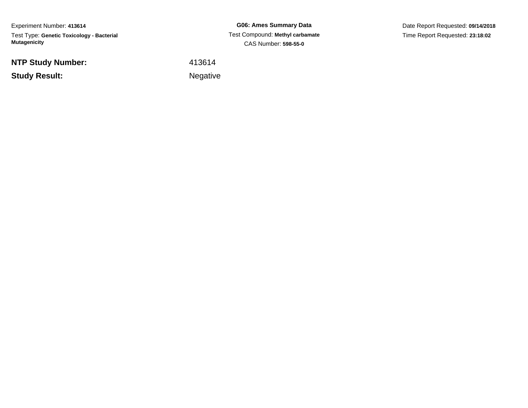Experiment Number: **413614**Test Type: **Genetic Toxicology - Bacterial Mutagenicity**

**NTP Study Number:**

**Study Result:**

**G06: Ames Summary Data** Test Compound: **Methyl carbamate**CAS Number: **598-55-0**

Date Report Requested: **09/14/2018**Time Report Requested: **23:18:02**

<sup>413614</sup>

**Example 2** is the contract of the Negative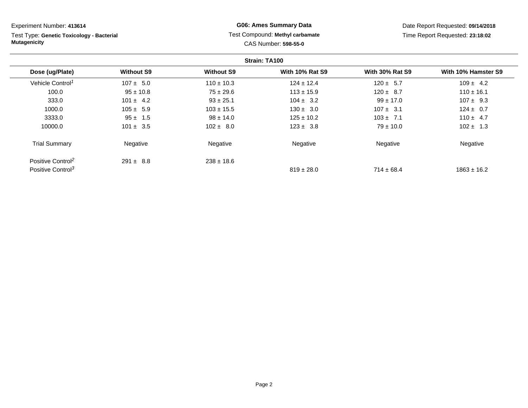**Strain: TA100Dose (ug/Plate) Without S9 Without S9 With 10% Rat S9 With 30% Rat S9 With 10% Hamster S9** Vehicle Control<sup>1</sup>  $107 \pm 5.0$ 0 110 ± 10.3 124 ± 12.4 12.4 120 ± 5.7 109 ± 4.2 100.0 95 ± 10.8 75 ± 29.6 113 ± 15.9 120 ± 8.7 110 ± 16.1 333.00 101 ± 4.2 33 ± 25.1 104 ± 3.2 99 ± 17.0 107 ± 9.3 1000.00 105 ± 5.9 103 ± 15.5 130 ± 3.0 107 ± 3.1 124 ± 0.7 3333.0 95 ± 1.5 98 ± 14.0 125 ± 10.2 103 ± 7.1 110 ± 4.7 10000.00 101 ±  $3.5$  102 ±  $8.0$  123 ±  $3.8$  79 ± 10.0 102 ± 1.3 Trial Summary Negativee **Negative Regative** Negative Negative Negative Regative Negative Experiment Number: **413614**Test Type: **Genetic Toxicology - BacterialMutagenicityG06: Ames Summary Data** Test Compound: **Methyl carbamate**CAS Number: **598-55-0**Date Report Requested: **09/14/2018**Time Report Requested: **23:18:02**

 $819 \pm 28.0$ 

 $714 \pm 68.4$  1863  $\pm 16.2$ 

Positive Control<sup>2</sup> Positive Control<sup>3</sup>

 $238 \pm 18.6$ 

 $291 \pm 8.8$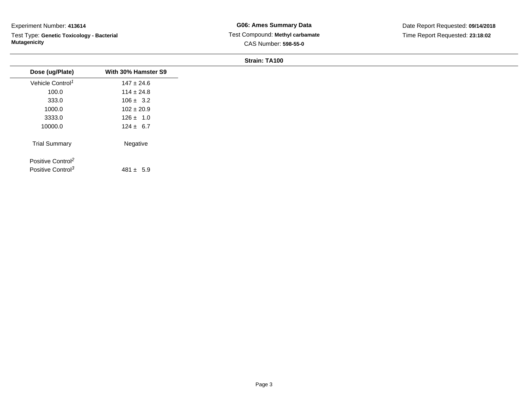Test Type: **Genetic Toxicology - Bacterial Mutagenicity**

**G06: Ames Summary Data** Test Compound: **Methyl carbamate**CAS Number: **598-55-0**

Date Report Requested: **09/14/2018**Time Report Requested: **23:18:02**

| With 30% Hamster S9 |
|---------------------|
|                     |
| $147 \pm 24.6$      |
| $114 \pm 24.8$      |
| $106 \pm 3.2$       |
| $102 \pm 20.9$      |
| $126 \pm 1.0$       |
| $124 \pm 6.7$       |
| Negative            |
|                     |
|                     |
| $481 \pm 5.9$       |
|                     |
|                     |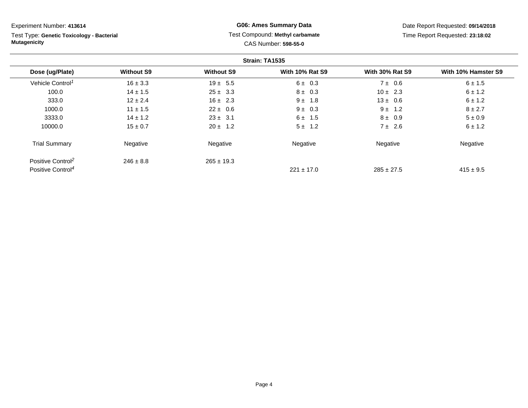Test Type: **Genetic Toxicology - Bacterial Mutagenicity**

# **G06: Ames Summary Data** Test Compound: **Methyl carbamate**CAS Number: **598-55-0**

Date Report Requested: **09/14/2018**Time Report Requested: **23:18:02**

|                               |                   |                   | Strain: TA1535         |                        |                     |
|-------------------------------|-------------------|-------------------|------------------------|------------------------|---------------------|
| Dose (ug/Plate)               | <b>Without S9</b> | <b>Without S9</b> | <b>With 10% Rat S9</b> | <b>With 30% Rat S9</b> | With 10% Hamster S9 |
| Vehicle Control <sup>1</sup>  | $16 \pm 3.3$      | $19 \pm 5.5$      | $6 \pm 0.3$            | $7 \pm 0.6$            | 6 ± 1.5             |
| 100.0                         | $14 \pm 1.5$      | $25 \pm 3.3$      | $8 \pm 0.3$            | $10 \pm 2.3$           | $6 \pm 1.2$         |
| 333.0                         | $12 \pm 2.4$      | $16 \pm 2.3$      | $9 \pm 1.8$            | $13 \pm 0.6$           | $6 \pm 1.2$         |
| 1000.0                        | $11 \pm 1.5$      | $22 \pm 0.6$      | $9 \pm 0.3$            | $9 \pm 1.2$            | $8 \pm 2.7$         |
| 3333.0                        | $14 \pm 1.2$      | $23 \pm 3.1$      | $6 \pm 1.5$            | $8 \pm 0.9$            | $5 \pm 0.9$         |
| 10000.0                       | $15 \pm 0.7$      | $20 \pm 1.2$      | $5 \pm 1.2$            | $7 \pm 2.6$            | $6 \pm 1.2$         |
| <b>Trial Summary</b>          | Negative          | Negative          | Negative               | Negative               | Negative            |
| Positive Control <sup>2</sup> | $246 \pm 8.8$     | $265 \pm 19.3$    |                        |                        |                     |
| Positive Control <sup>4</sup> |                   |                   | $221 \pm 17.0$         | $285 \pm 27.5$         | $415 \pm 9.5$       |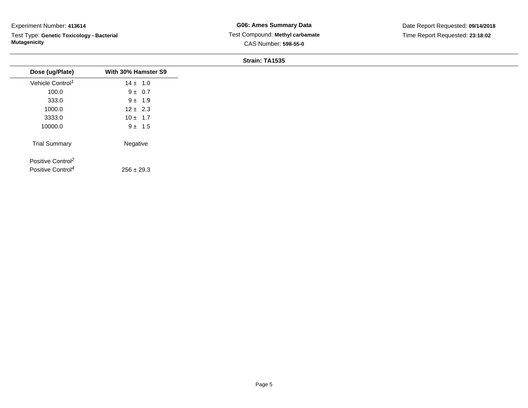Test Type: **Genetic Toxicology - Bacterial Mutagenicity**

| Dose (ug/Plate)               | With 30% Hamster S9 |
|-------------------------------|---------------------|
| Vehicle Control <sup>1</sup>  | $14 \pm 1.0$        |
| 100.0                         | $9 \pm 0.7$         |
| 333.0                         | $9 \pm 1.9$         |
| 1000.0                        | $12 \pm 2.3$        |
| 3333.0                        | $10 \pm 1.7$        |
| 10000.0                       | $9 \pm 1.5$         |
| <b>Trial Summary</b>          | Negative            |
| Positive Control <sup>2</sup> |                     |
| Positive Control <sup>4</sup> | $256 \pm 29.3$      |
|                               |                     |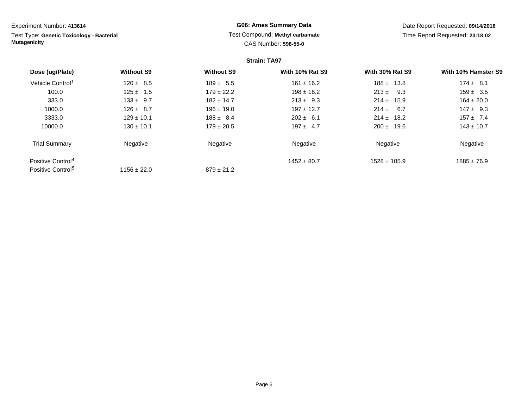**Strain: TA97Dose (ug/Plate) Without S9 Without S9 With 10% Rat S9 With 30% Rat S9 With 10% Hamster S9** Vehicle Control<sup>1</sup>  $120 \pm 8.5$  $5$  189 ± 5.5 161 ± 16.2 188 ± 13.8 174 ± 8.1 100.00 125 ± 1.5 179 ± 22.2 198 ± 16.2 213 ± 9.3 159 ± 3.5 333.00 133 ±  $9.7$  182 ± 14.7 213 ±  $9.3$  214 ± 15.9 164 ± 20.0 1000.00 126 ± 8.7 196 ± 19.0 197 ± 12.7 214 ± 6.7 147 ± 9.3 3333.00 129 ± 10.1 188 ± 8.4 202 ± 6.1 214 ± 18.2 157 ± 7.4 10000.00 130 ± 10.1 179 ± 20.5 197 ± 4.7 200 ± 19.6 143 ± 10.7 Experiment Number: **413614**Test Type: **Genetic Toxicology - BacterialMutagenicityG06: Ames Summary Data** Test Compound: **Methyl carbamate**CAS Number: **598-55-0**Date Report Requested: **09/14/2018**Time Report Requested: **23:18:02**

 $879 \pm 21.2$ 

e **Negative Regative** Negative Negative Negative Regative Negative

 $1528 \pm 105.9$  1885  $\pm 76.9$ 

 $1452 \pm 80.7$ 

Trial Summary

Positive Control<sup>4</sup>

Positive Control<sup>5</sup>

Negative

 $1156 \pm 22.0$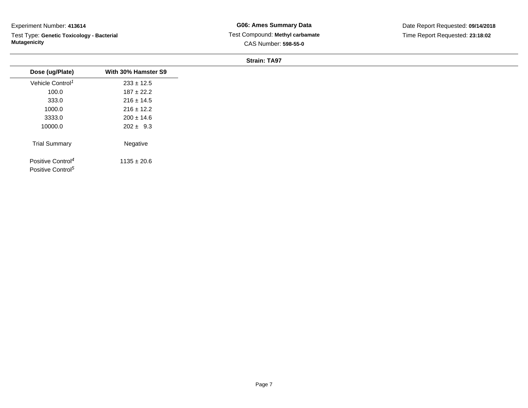Test Type: **Genetic Toxicology - Bacterial Mutagenicity**

**G06: Ames Summary Data** Test Compound: **Methyl carbamate**CAS Number: **598-55-0**

Date Report Requested: **09/14/2018**Time Report Requested: **23:18:02**

| Dose (ug/Plate)                                                | With 30% Hamster S9 |
|----------------------------------------------------------------|---------------------|
| Vehicle Control <sup>1</sup>                                   | $233 \pm 12.5$      |
| 100.0                                                          | $187 \pm 22.2$      |
| 333.0                                                          | $216 \pm 14.5$      |
| 1000.0                                                         | $216 \pm 12.2$      |
| 3333.0                                                         | $200 \pm 14.6$      |
| 10000.0                                                        | $202 \pm 9.3$       |
| <b>Trial Summary</b>                                           | Negative            |
| Positive Control <sup>4</sup><br>Positive Control <sup>5</sup> | $1135 \pm 20.6$     |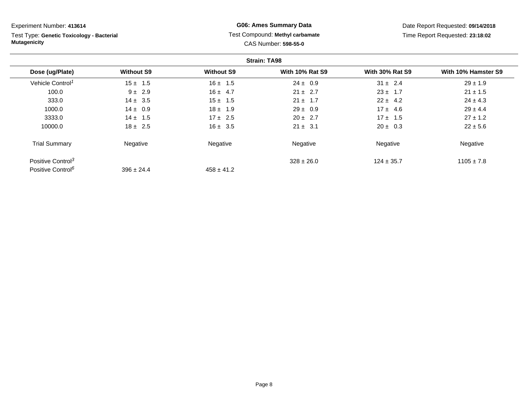Test Type: **Genetic Toxicology - Bacterial Mutagenicity**

# **G06: Ames Summary Data** Test Compound: **Methyl carbamate**CAS Number: **598-55-0**

Date Report Requested: **09/14/2018**Time Report Requested: **23:18:02**

|                               |                   |                   | <b>Strain: TA98</b>    |                        |                     |
|-------------------------------|-------------------|-------------------|------------------------|------------------------|---------------------|
| Dose (ug/Plate)               | <b>Without S9</b> | <b>Without S9</b> | <b>With 10% Rat S9</b> | <b>With 30% Rat S9</b> | With 10% Hamster S9 |
| Vehicle Control <sup>1</sup>  | $15 \pm 1.5$      | $16 \pm 1.5$      | $24 \pm 0.9$           | $31 \pm 2.4$           | $29 \pm 1.9$        |
| 100.0                         | $9 \pm 2.9$       | $16 \pm 4.7$      | $21 \pm 2.7$           | $23 \pm 1.7$           | $21 \pm 1.5$        |
| 333.0                         | $14 \pm 3.5$      | $15 \pm 1.5$      | $21 \pm 1.7$           | $22 \pm 4.2$           | $24 \pm 4.3$        |
| 1000.0                        | $14 \pm 0.9$      | $18 \pm 1.9$      | $29 \pm 0.9$           | $17 \pm 4.6$           | $29 \pm 4.4$        |
| 3333.0                        | $14 \pm 1.5$      | $17 \pm 2.5$      | $20 \pm 2.7$           | $17 \pm 1.5$           | $27 \pm 1.2$        |
| 10000.0                       | $18 \pm 2.5$      | $16 \pm 3.5$      | $21 \pm 3.1$           | $20 \pm 0.3$           | $22 \pm 5.6$        |
| <b>Trial Summary</b>          | Negative          | Negative          | Negative               | Negative               | Negative            |
| Positive Control <sup>3</sup> |                   |                   | $328 \pm 26.0$         | $124 \pm 35.7$         | $1105 \pm 7.8$      |
| Positive Control <sup>6</sup> | $396 \pm 24.4$    | $458 \pm 41.2$    |                        |                        |                     |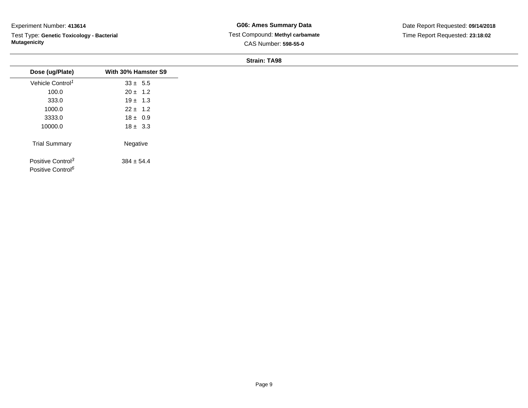Test Type: **Genetic Toxicology - Bacterial Mutagenicity**

**G06: Ames Summary Data** Test Compound: **Methyl carbamate**CAS Number: **598-55-0**

Date Report Requested: **09/14/2018**Time Report Requested: **23:18:02**

| Dose (ug/Plate)               | With 30% Hamster S9 |
|-------------------------------|---------------------|
| Vehicle Control <sup>1</sup>  | $33 \pm 5.5$        |
| 100.0                         | $20 \pm 1.2$        |
| 333.0                         | $19 \pm 1.3$        |
| 1000.0                        | $22 \pm 1.2$        |
| 3333.0                        | $18 \pm 0.9$        |
| 10000.0                       | $18 \pm 3.3$        |
| <b>Trial Summary</b>          | Negative            |
| Positive Control <sup>3</sup> | $384 \pm 54.4$      |
| Positive Control <sup>6</sup> |                     |